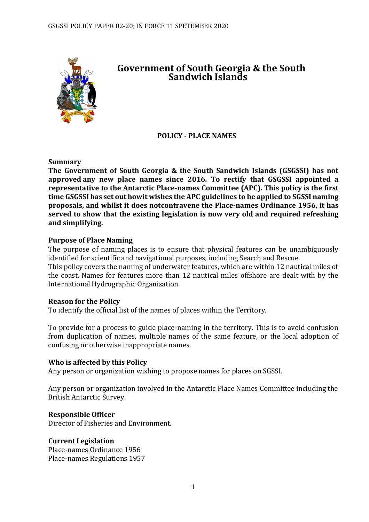

# **Government of South Georgia & the South Sandwich Islands**

# **POLICY - PLACE NAMES**

#### **Summary**

**The Government of South Georgia & the South Sandwich Islands (GSGSSI) has not approved any new place names since 2016. To rectify that GSGSSI appointed a representative to the Antarctic Place-names Committee (APC). This policy is the first time GSGSSI has set out howit wishes the APC guidelines to be applied to SGSSI naming proposals, and whilst it does notcontravene the Place-names Ordinance 1956, it has served to show that the existing legislation is now very old and required refreshing and simplifying.**

#### **Purpose of Place Naming**

The purpose of naming places is to ensure that physical features can be unambiguously identified for scientific and navigational purposes, including Search and Rescue.

This policy covers the naming of underwater features, which are within 12 nautical miles of the coast. Names for features more than 12 nautical miles offshore are dealt with by the International Hydrographic Organization.

## **Reason for the Policy**

To identify the official list of the names of places within the Territory.

To provide for a process to guide place-naming in the territory. This is to avoid confusion from duplication of names, multiple names of the same feature, or the local adoption of confusing or otherwise inappropriate names.

## **Who is affected by this Policy**

Any person or organization wishing to propose names for places on SGSSI.

Any person or organization involved in the Antarctic Place Names Committee including the British Antarctic Survey.

## **Responsible Officer**

Director of Fisheries and Environment.

## **Current Legislation**

Place-names Ordinance 1956 Place-names Regulations 1957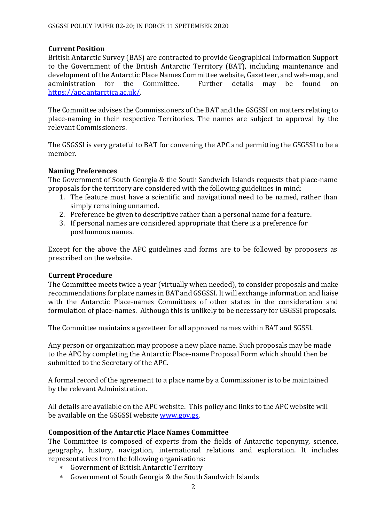#### **Current Position**

British Antarctic Survey (BAS) are contracted to provide Geographical Information Support to the Government of the British Antarctic Territory (BAT), including maintenance and development of the Antarctic Place Names Committee website, Gazetteer, and web-map, and administration for the Committee. Further details may be found on [https://apc.antarctica.ac.uk/.](https://apc.antarctica.ac.uk/)

The Committee advises the Commissioners of the BAT and the GSGSSI on matters relating to place-naming in their respective Territories. The names are subject to approval by the relevant Commissioners.

The GSGSSI is very grateful to BAT for convening the APC and permitting the GSGSSI to be a member.

#### **Naming Preferences**

The Government of South Georgia & the South Sandwich Islands requests that place-name proposals for the territory are considered with the following guidelines in mind:

- 1. The feature must have a scientific and navigational need to be named, rather than simply remaining unnamed.
- 2. Preference be given to descriptive rather than a personal name for a feature.
- 3. If personal names are considered appropriate that there is a preference for posthumous names.

Except for the above the APC guidelines and forms are to be followed by proposers as prescribed on the website.

#### **Current Procedure**

The Committee meets twice a year (virtually when needed), to consider proposals and make recommendations for place names in BAT and GSGSSI. It will exchange information and liaise with the Antarctic Place-names Committees of other states in the consideration and formulation of place-names. Although this is unlikely to be necessary for GSGSSI proposals.

The Committee maintains a gazetteer for all approved names within BAT and SGSSI.

Any person or organization may propose a new place name. Such proposals may be made to the APC by completing the Antarctic Place-name Proposal Form which should then be submitted to the Secretary of the APC.

A formal record of the agreement to a place name by a Commissioner is to be maintained by the relevant Administration.

All details are available on the APC website. This policy and links to the APC website will be available on the GSGSSI website [www.gov.gs.](http://www.gov.gs/)

## **Composition of the Antarctic Place Names Committee**

The Committee is composed of experts from the fields of Antarctic toponymy, science, geography, history, navigation, international relations and exploration. It includes representatives from the following organisations:

- Government of British Antarctic Territory
- Government of South Georgia & the South Sandwich Islands